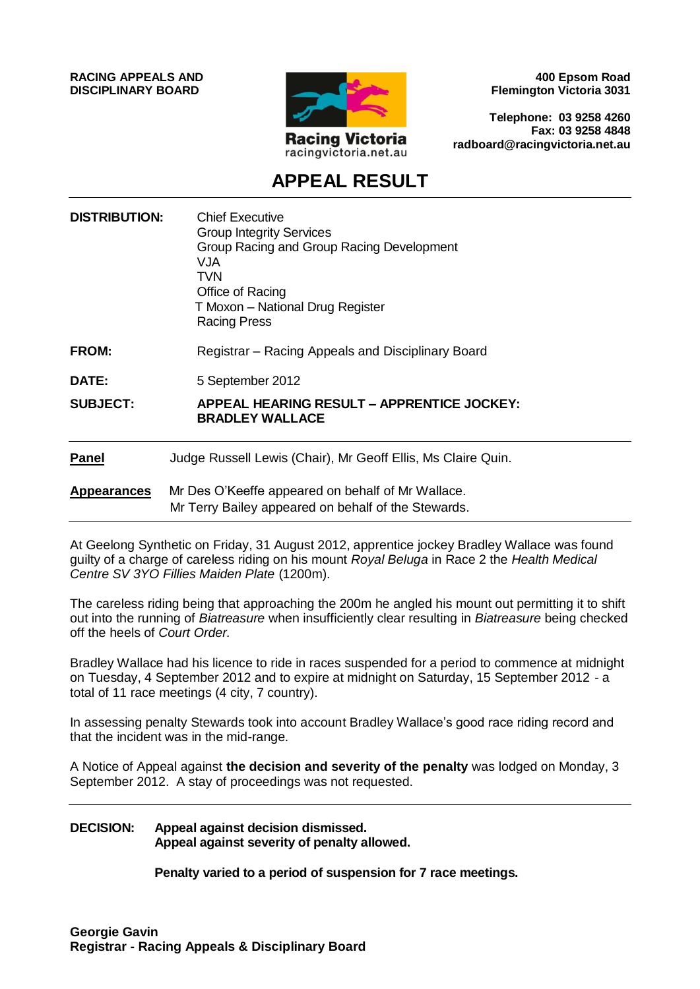**RACING APPEALS AND DISCIPLINARY BOARD**



**400 Epsom Road Flemington Victoria 3031**

**Telephone: 03 9258 4260 Fax: 03 9258 4848 radboard@racingvictoria.net.au**

## **APPEAL RESULT**

| <b>DISTRIBUTION:</b> | <b>Chief Executive</b><br><b>Group Integrity Services</b><br>Group Racing and Group Racing Development<br><b>VJA</b><br><b>TVN</b><br>Office of Racing<br>T Moxon - National Drug Register<br><b>Racing Press</b> |
|----------------------|-------------------------------------------------------------------------------------------------------------------------------------------------------------------------------------------------------------------|
| FROM:                | Registrar – Racing Appeals and Disciplinary Board                                                                                                                                                                 |
| DATE:                | 5 September 2012                                                                                                                                                                                                  |
| <b>SUBJECT:</b>      | APPEAL HEARING RESULT – APPRENTICE JOCKEY:<br><b>BRADLEY WALLACE</b>                                                                                                                                              |
| <b>Panel</b>         | Judge Russell Lewis (Chair), Mr Geoff Ellis, Ms Claire Quin.                                                                                                                                                      |
| <b>Appearances</b>   | Mr Des O'Keeffe appeared on behalf of Mr Wallace.<br>Mr Terry Bailey appeared on behalf of the Stewards.                                                                                                          |

At Geelong Synthetic on Friday, 31 August 2012, apprentice jockey Bradley Wallace was found guilty of a charge of careless riding on his mount *Royal Beluga* in Race 2 the *Health Medical Centre SV 3YO Fillies Maiden Plate* (1200m).

The careless riding being that approaching the 200m he angled his mount out permitting it to shift out into the running of *Biatreasure* when insufficiently clear resulting in *Biatreasure* being checked off the heels of *Court Order.*

Bradley Wallace had his licence to ride in races suspended for a period to commence at midnight on Tuesday, 4 September 2012 and to expire at midnight on Saturday, 15 September 2012 - a total of 11 race meetings (4 city, 7 country).

In assessing penalty Stewards took into account Bradley Wallace's good race riding record and that the incident was in the mid-range.

A Notice of Appeal against **the decision and severity of the penalty** was lodged on Monday, 3 September 2012. A stay of proceedings was not requested.

#### **DECISION: Appeal against decision dismissed. Appeal against severity of penalty allowed.**

**Penalty varied to a period of suspension for 7 race meetings.**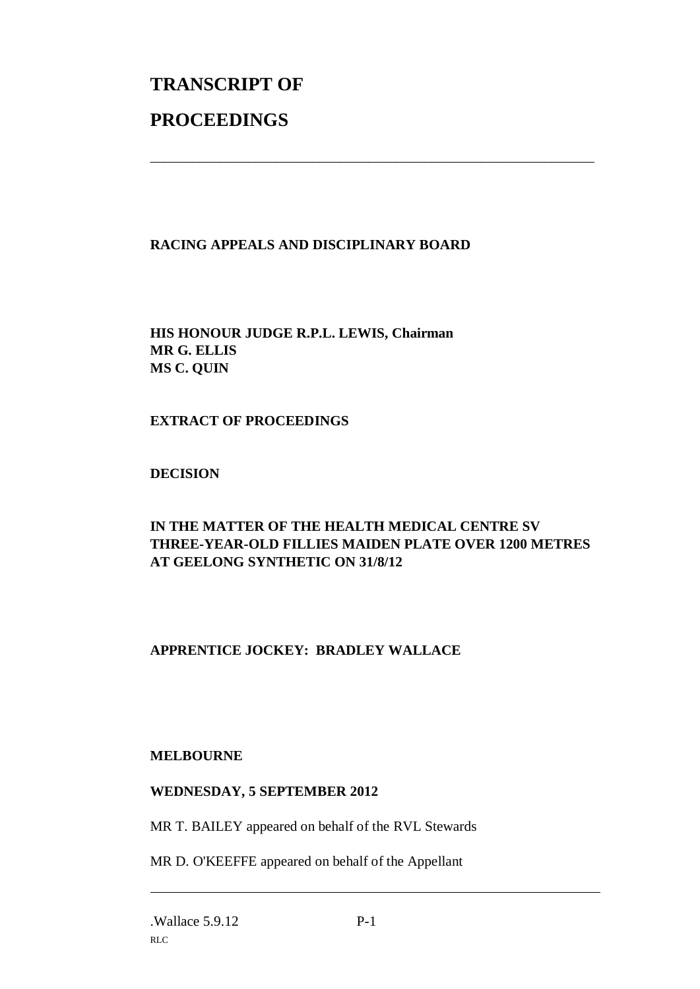# **TRANSCRIPT OF PROCEEDINGS**

#### **RACING APPEALS AND DISCIPLINARY BOARD**

**HIS HONOUR JUDGE R.P.L. LEWIS, Chairman MR G. ELLIS MS C. QUIN**

**EXTRACT OF PROCEEDINGS**

**DECISION**

#### **IN THE MATTER OF THE HEALTH MEDICAL CENTRE SV THREE-YEAR-OLD FILLIES MAIDEN PLATE OVER 1200 METRES AT GEELONG SYNTHETIC ON 31/8/12**

\_\_\_\_\_\_\_\_\_\_\_\_\_\_\_\_\_\_\_\_\_\_\_\_\_\_\_\_\_\_\_\_\_\_\_\_\_\_\_\_\_\_\_\_\_\_\_\_\_\_\_\_\_\_\_\_\_\_\_\_\_\_\_

### **APPRENTICE JOCKEY: BRADLEY WALLACE**

#### **MELBOURNE**

#### **WEDNESDAY, 5 SEPTEMBER 2012**

MR T. BAILEY appeared on behalf of the RVL Stewards

MR D. O'KEEFFE appeared on behalf of the Appellant